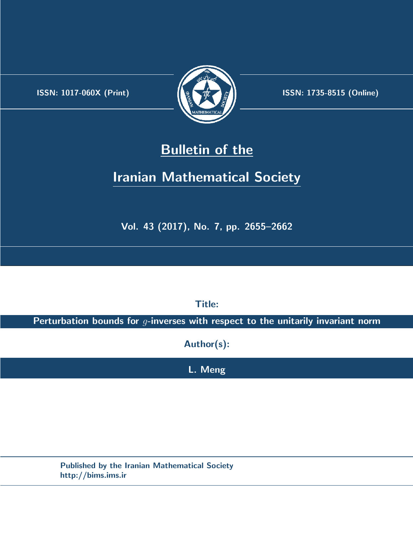.



**ISSN:** 1017-060X (Print) **ISSN:** 1735-8515 (Online)

## **Bulletin of the**

# **Iranian Mathematical Society**

**Vol. 43 (2017), No. 7, pp. 2655–2662**

**Title:**

**Perturbation bounds for** *g***-inverses with respect to the unitarily invariant norm**

**Author(s):**

**L. Meng**

**Published by the Iranian Mathematical Society http://bims.ims.ir**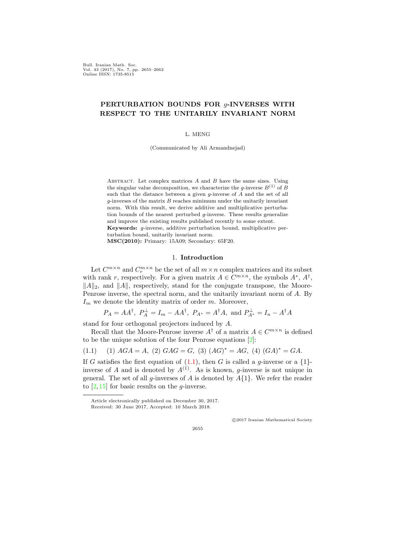Bull. Iranian Math. Soc. Vol. 43 (2017), No. 7, pp. 2655–2662 Online ISSN: 1735-8515

## **PERTURBATION BOUNDS FOR** *g***-INVERSES WITH RESPECT TO THE UNITARILY INVARIANT NORM**

#### L. MENG

(Communicated by Ali Armandnejad)

Abstract. Let complex matrices *A* and *B* have the same sizes. Using the singular value decomposition, we characterize the *g*-inverse  $B^{(1)}$  of  $\tilde{B}$ such that the distance between a given *g*-inverse of *A* and the set of all *g*-inverses of the matrix *B* reaches minimum under the unitarily invariant norm. With this result, we derive additive and multiplicative perturbation bounds of the nearest perturbed *g*-inverse. These results generalize and improve the existing results published recently to some extent. **Keywords:** *g*-inverse, additive perturbation bound, multiplicative perturbation bound, unitarily invariant norm.

**MSC(2010):** Primary: 15A09; Secondary: 65F20.

#### 1. **Introduction**

Let  $C^{m \times n}$  and  $C^{m \times n}_r$  be the set of all  $m \times n$  complex matrices and its subset with rank *r*, respectively. For a given matrix  $A \in C^{m \times n}$ , the symbols  $A^*$ ,  $A^{\dagger}$ , *∥*<sup>*A* $\parallel$ </sup><sup>2</sup>, and *∥*<sup>*A* $\parallel$ </sub>, respectively, stand for the conjugate transpose, the Moore-</sup> Penrose inverse, the spectral norm, and the unitarily invariant norm of *A*. By *I<sup>m</sup>* we denote the identity matrix of order *m*. Moreover,

$$
P_A = AA^{\dagger}
$$
,  $P_A^{\perp} = I_m - AA^{\dagger}$ ,  $P_{A^*} = A^{\dagger}A$ , and  $P_{A^*}^{\perp} = I_n - A^{\dagger}A$ 

stand for four orthogonal projectors induced by *A*.

Recall that the Moore-Penrose inverse  $A^{\dagger}$  of a matrix  $A \in C^{m \times n}$  is defined to be the unique solution of the four Penrose equations [[2\]](#page-8-0):

<span id="page-1-0"></span>
$$
(1.1) \quad (1) \,\, AGA = A, \,\, (2) \,\, GAG = G, \,\, (3) \,\, (AG)^* = AG, \,\, (4) \,\, (GA)^* = GA.
$$

If *G* satisfies the first equation of  $(1.1)$ , then *G* is called a *g*-inverse or a  $\{1\}$ inverse of *A* and is denoted by  $A^{(1)}$ . As is known, *q*-inverse is not unique in general. The set of all *g*-inverses of *A* is denoted by *A{*1*}*. We refer the reader to [[2,](#page-8-0) [15\]](#page-8-1) for basic results on the *g*-inverse.

*⃝*c 2017 Iranian Mathematical Society

2655

Article electronically published on December 30, 2017. Received: 30 June 2017, Accepted: 10 March 2018.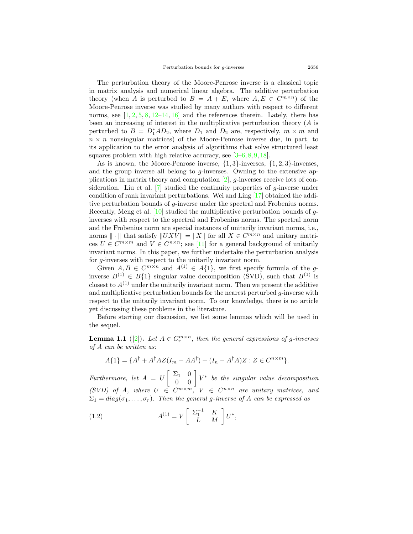The perturbation theory of the Moore-Penrose inverse is a classical topic in matrix analysis and numerical linear algebra. The additive perturbation theory (when *A* is perturbed to  $B = A + E$ , where  $A, E \in C^{m \times n}$ ) of the Moore-Penrose inverse was studied by many authors with respect to different norms, see  $[1, 2, 5, 8, 12-14, 16]$  $[1, 2, 5, 8, 12-14, 16]$  $[1, 2, 5, 8, 12-14, 16]$  $[1, 2, 5, 8, 12-14, 16]$  $[1, 2, 5, 8, 12-14, 16]$  $[1, 2, 5, 8, 12-14, 16]$  $[1, 2, 5, 8, 12-14, 16]$  $[1, 2, 5, 8, 12-14, 16]$  $[1, 2, 5, 8, 12-14, 16]$  $[1, 2, 5, 8, 12-14, 16]$  $[1, 2, 5, 8, 12-14, 16]$  $[1, 2, 5, 8, 12-14, 16]$  $[1, 2, 5, 8, 12-14, 16]$  and the references therein. Lately, there has been an increasing of interest in the multiplicative perturbation theory (*A* is perturbed to  $B = D_1^*AD_2$ , where  $D_1$  and  $D_2$  are, respectively,  $m \times m$  and  $n \times n$  nonsingular matrices) of the Moore-Penrose inverse due, in part, to its application to the error analysis of algorithms that solve structured least squares problem with high relative accuracy, see  $[3-6, 8, 9, 18]$  $[3-6, 8, 9, 18]$  $[3-6, 8, 9, 18]$  $[3-6, 8, 9, 18]$  $[3-6, 8, 9, 18]$  $[3-6, 8, 9, 18]$  $[3-6, 8, 9, 18]$  $[3-6, 8, 9, 18]$ .

As is known, the Moore-Penrose inverse, *{*1*,* 3*}*-inverses, *{*1*,* 2*,* 3*}*-inverses, and the group inverse all belong to *g*-inverses. Owning to the extensive applications in matrix theory and computation [[2](#page-8-0)], *g*-inverses receive lots of consideration. Liu et al. [\[7](#page-8-12)] studied the continuity properties of *g*-inverse under condition of rank invariant perturbations. Wei and Ling [[17\]](#page-8-13) obtained the additive perturbation bounds of *g*-inverse under the spectral and Frobenius norms. Recently, Meng et al. [[10\]](#page-8-14) studied the multiplicative perturbation bounds of *g*inverses with respect to the spectral and Frobenius norms. The spectral norm and the Frobenius norm are special instances of unitarily invariant norms, i.e., norms  $\|\cdot\|$  that satisfy  $\|UXV\| = \|X\|$  for all  $X \in C^{m \times n}$  and unitary matrices  $U \in C^{m \times m}$  and  $V \in C^{n \times n}$ ; see [[11\]](#page-8-15) for a general background of unitarily invariant norms. In this paper, we further undertake the perturbation analysis for *g*-inverses with respect to the unitarily invariant norm.

Given  $A, B \in C^{m \times n}$  and  $A^{(1)} \in A\{1\}$ , we first specify formula of the *g*inverse  $B^{(1)} \in B\{1\}$  singular value decomposition (SVD), such that  $B^{(1)}$  is closest to  $A^{(1)}$  under the unitarily invariant norm. Then we present the additive and multiplicative perturbation bounds for the nearest perturbed *g*-inverse with respect to the unitarily invariant norm. To our knowledge, there is no article yet discussing these problems in the literature.

Before starting our discussion, we list some lemmas which will be used in the sequel.

<span id="page-2-1"></span>**Lemma 1.1** ([\[2](#page-8-0)]). Let  $A \in C_r^{m \times n}$ , then the general expressions of g-inverses *of A can be written as:*

$$
A\{1\} = \{A^{\dagger} + A^{\dagger} A Z (I_m - A A^{\dagger}) + (I_n - A^{\dagger} A) Z : Z \in C^{n \times m}\}.
$$

*Furthermore, let A* = *U*  $\begin{bmatrix} \Sigma_1 & 0 \\ 0 & 0 \end{bmatrix} V^*$  *be the singular value decomposition (SVD)* of *A*, where  $U \in C^{m \times m}$ ,  $V \in C^{n \times n}$  are unitary matrices, and  $\Sigma_1 = diag(\sigma_1, \ldots, \sigma_r)$ . Then the general *g*-inverse of *A* can be expressed as

<span id="page-2-0"></span>(1.2) 
$$
A^{(1)} = V \begin{bmatrix} \Sigma_1^{-1} & K \\ L & M \end{bmatrix} U^*,
$$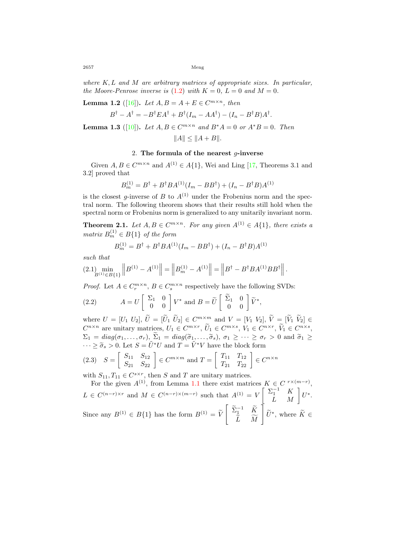2657 Meng

*where K, L and M are arbitrary matrices of appropriate sizes. In particular, the Moore-Penrose inverse is*  $(1.2)$  $(1.2)$  $(1.2)$  *with*  $K = 0$ ,  $L = 0$  *and*  $M = 0$ .

<span id="page-3-3"></span>**Lemma 1.2** ([\[16](#page-8-7)]). *Let*  $A, B = A + E \in C^{m \times n}$ , *then* 

$$
B^{\dagger} - A^{\dagger} = -B^{\dagger} E A^{\dagger} + B^{\dagger} (I_m - A A^{\dagger}) - (I_n - B^{\dagger} B) A^{\dagger}.
$$

<span id="page-3-1"></span>**Lemma 1.3** ([\[10](#page-8-14)]). Let  $A, B \in C^{m \times n}$  and  $B^*A = 0$  or  $A^*B = 0$ . Then

$$
||A|| \leq ||A+B||.
$$

#### 2. **The formula of the nearest** *g***-inverse**

Given  $A, B \in C^{m \times n}$  and  $A^{(1)} \in A\{1\}$ , Wei and Ling [[17,](#page-8-13) Theorems 3.1 and 3.2] proved that

$$
B_m^{(1)} = B^{\dagger} + B^{\dagger} B A^{(1)} (I_m - B B^{\dagger}) + (I_n - B^{\dagger} B) A^{(1)}
$$

is the closest *g*-inverse of *B* to  $A^{(1)}$  under the Frobenius norm and the spectral norm. The following theorem shows that their results still hold when the spectral norm or Frobenius norm is generalized to any unitarily invariant norm.

<span id="page-3-2"></span>**Theorem 2.1.** Let  $A, B \in C^{m \times n}$ . For any given  $A^{(1)} \in A\{1\}$ , there exists a  $matrix B_m^{(1)} \in B\{1\}$  *of the form* 

$$
B_m^{(1)} = B^{\dagger} + B^{\dagger} B A^{(1)} (I_m - B B^{\dagger}) + (I_n - B^{\dagger} B) A^{(1)}
$$

*such that*

<span id="page-3-4"></span>
$$
(2.1) \min_{B^{(1)} \in B\{1\}} \left\| B^{(1)} - A^{(1)} \right\| = \left\| B_m^{(1)} - A^{(1)} \right\| = \left\| B^{\dagger} - B^{\dagger} B A^{(1)} B B^{\dagger} \right\|.
$$

*Proof.* Let  $A \in C_r^{m \times n}$ ,  $B \in C_s^{m \times n}$  respectively have the following SVDs:

<span id="page-3-0"></span>(2.2) 
$$
A = U \begin{bmatrix} \Sigma_1 & 0 \\ 0 & 0 \end{bmatrix} V^* \text{ and } B = \widetilde{U} \begin{bmatrix} \widetilde{\Sigma}_1 & 0 \\ 0 & 0 \end{bmatrix} \widetilde{V}^*,
$$

where  $U = [U_1 \ U_2], \ \tilde{U} = [\tilde{U}_1 \ \tilde{U}_2] \in C^{m \times m}$  and  $V = [V_1 \ V_2], \ \tilde{V} = [\tilde{V}_1 \ \tilde{V}_2] \in$  $C^{n \times n}$  are unitary matrices,  $U_1 \in C^{m \times r}$ ,  $\tilde{U}_1 \in C^{m \times s}$ ,  $V_1 \in C^{n \times r}$ ,  $\tilde{V}_1 \in C^{n \times s}$ ,  $\Sigma_1 = diag(\sigma_1, \ldots, \sigma_r), \ \widetilde{\Sigma}_1 = diag(\widetilde{\sigma}_1, \ldots, \widetilde{\sigma}_s), \ \sigma_1 \geq \cdots \geq \sigma_r > 0 \ \text{and} \ \widetilde{\sigma}_1 \geq$  $\cdots \geq \tilde{\sigma}_s > 0$ . Let  $S = \tilde{U}^*U$  and  $\tilde{T} = \tilde{V}^*V$  have the block form

$$
(2.3) \quad S = \begin{bmatrix} S_{11} & S_{12} \\ S_{21} & S_{22} \end{bmatrix} \in C^{m \times m} \text{ and } T = \begin{bmatrix} T_{11} & T_{12} \\ T_{21} & T_{22} \end{bmatrix} \in C^{n \times n}
$$

with  $S_{11}, T_{11} \in C^{s \times r}$ , then *S* and *T* are unitary matrices.

For the given  $A^{(1)}$ , from Lemma [1.1](#page-2-1) there exist matrices  $K \in C^{r \times (m-r)}$ ,  $L \in C^{(n-r)\times r}$  and  $M \in C^{(n-r)\times(m-r)}$  such that  $A^{(1)} = V \begin{bmatrix} \sum_{1}^{-1} & K \\ L & M \end{bmatrix} U^*.$ Since any  $B^{(1)} \in B\{1\}$  has the form  $B^{(1)} = \tilde{V}$  $\left[\begin{array}{cc} \tilde{\Sigma}_{1}^{-1} & \tilde{K} \\ \end{array}\right]$ *L*e *M*f ]  $\widetilde{U}^*$ , where  $\widetilde{K} \in$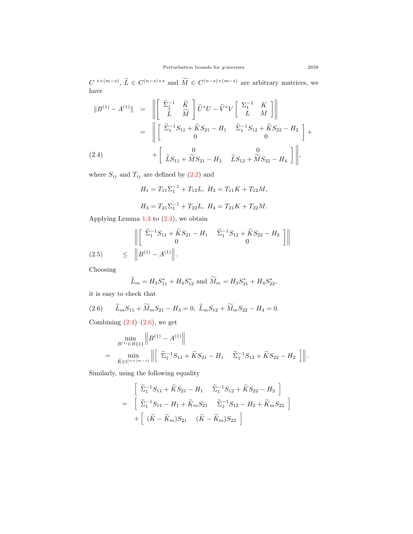$C^{s \times (m-s)}$ ,  $\widetilde{L} \in C^{(n-s) \times s}$  and  $\widetilde{M} \in C^{(n-s) \times (m-s)}$  are arbitrary matrices, we have

<span id="page-4-0"></span>
$$
\|B^{(1)} - A^{(1)}\| = \left\| \begin{bmatrix} \tilde{\Sigma}_{1}^{-1} & \tilde{K} \\ \tilde{L} & \tilde{M} \end{bmatrix} \tilde{U}^{*}U - \tilde{V}^{*}V \begin{bmatrix} \Sigma_{1}^{-1} & K \\ L & M \end{bmatrix} \right\|
$$
  

$$
= \left\| \begin{bmatrix} \tilde{\Sigma}_{1}^{-1}S_{11} + \tilde{K}S_{21} - H_{1} & \tilde{\Sigma}_{1}^{-1}S_{12} + \tilde{K}S_{22} - H_{2} \\ 0 & 0 \end{bmatrix} + \begin{bmatrix} 0 & 0 \\ \tilde{L}S_{11} + \tilde{M}S_{21} - H_{3} & \tilde{L}S_{12} + \tilde{M}S_{22} - H_{4} \end{bmatrix} \right\|,
$$

where  $S_{ij}$  and  $T_{ij}$  are defined by  $(2.2)$  $(2.2)$  $(2.2)$  and

$$
H_1 = T_{11} \Sigma_1^{-1} + T_{12} L, \ H_2 = T_{11} K + T_{12} M,
$$

$$
H_3 = T_{21}\Sigma_1^{-1} + T_{22}L, \ H_4 = T_{21}K + T_{22}M.
$$

Applying Lemma [1.3](#page-3-1) to ([2.4\)](#page-4-0), we obtain

(2.5) 
$$
\begin{aligned}\n\left\| \begin{bmatrix} \tilde{\Sigma}_1^{-1} S_{11} + \tilde{K} S_{21} - H_1 & \tilde{\Sigma}_1^{-1} S_{12} + \tilde{K} S_{22} - H_2 \\ 0 & 0 \end{bmatrix} \right\| \\
\leq \left\| B^{(1)} - A^{(1)} \right\|. \n\end{aligned}
$$

Choosing

$$
\widetilde{L}_m = H_3 S_{11}^* + H_4 S_{12}^*
$$
 and  $\widetilde{M}_m = H_3 S_{21}^* + H_4 S_{22}^*$ ,

it is easy to check that

<span id="page-4-1"></span>(2.6) 
$$
\widetilde{L}_m S_{11} + \widetilde{M}_m S_{21} - H_3 = 0, \ \widetilde{L}_m S_{12} + \widetilde{M}_m S_{22} - H_4 = 0.
$$

Combining  $(2.4)$  $(2.4)$  $(2.4)$ – $(2.6)$ , we get

$$
\min_{B^{(1)} \in B\{1\}} \|B^{(1)} - A^{(1)}\|
$$
\n
$$
= \min_{\widetilde{K} \in C^{s \times (m-s)}} \left\| \begin{bmatrix} \widetilde{\Sigma}_1^{-1} S_{11} + \widetilde{K} S_{21} - H_1 & \widetilde{\Sigma}_1^{-1} S_{12} + \widetilde{K} S_{22} - H_2 \end{bmatrix} \right\|.
$$

Similarly, using the following equality

$$
\begin{bmatrix}\n\widetilde{\Sigma}_{1}^{-1}S_{11} + \widetilde{K}S_{21} - H_{1} & \widetilde{\Sigma}_{1}^{-1}S_{12} + \widetilde{K}S_{22} - H_{2}\n\end{bmatrix}
$$
\n
$$
= \begin{bmatrix}\n\widetilde{\Sigma}_{1}^{-1}S_{11} - H_{1} + \widetilde{K}_{m}S_{21} & \widetilde{\Sigma}_{1}^{-1}S_{12} - H_{2} + \widetilde{K}_{m}S_{22}\n\end{bmatrix}
$$
\n
$$
+ \begin{bmatrix}\n(\widetilde{K} - \widetilde{K}_{m})S_{21} & (\widetilde{K} - \widetilde{K}_{m})S_{22}\n\end{bmatrix}
$$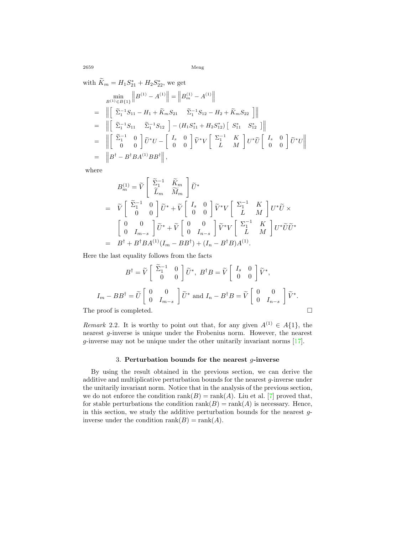2659 Meng

with  $K_m = H_1 S_{21}^* + H_2 S_{22}^*$ , we get

$$
\min_{B^{(1)} \in B\{1\}} \|B^{(1)} - A^{(1)}\| = \|B_m^{(1)} - A^{(1)}\|
$$
\n
$$
= \left\| \begin{bmatrix} \tilde{\Sigma}_1^{-1} S_{11} - H_1 + \tilde{K}_m S_{21} & \tilde{\Sigma}_1^{-1} S_{12} - H_2 + \tilde{K}_m S_{22} \end{bmatrix} \right\|
$$
\n
$$
= \left\| \begin{bmatrix} \tilde{\Sigma}_1^{-1} S_{11} & \tilde{\Sigma}_1^{-1} S_{12} \end{bmatrix} - (H_1 S_{11}^* + H_2 S_{12}^*) \begin{bmatrix} S_{11}^* & S_{12}^* \end{bmatrix} \right\|
$$
\n
$$
= \left\| \begin{bmatrix} \tilde{\Sigma}_1^{-1} & 0 \\ 0 & 0 \end{bmatrix} \tilde{U}^* U - \begin{bmatrix} I_s & 0 \\ 0 & 0 \end{bmatrix} \tilde{V}^* V \begin{bmatrix} \Sigma_1^{-1} & K \\ L & M \end{bmatrix} U^* \tilde{U} \begin{bmatrix} I_s & 0 \\ 0 & 0 \end{bmatrix} \tilde{U}^* U \right\|
$$
\n
$$
= \left\| B^\dagger - B^\dagger B A^{(1)} B B^\dagger \right\|,
$$

where

$$
B_{m}^{(1)} = \widetilde{V} \begin{bmatrix} \widetilde{\Sigma}_{1}^{-1} & \widetilde{K}_{m} \\ \widetilde{L}_{m} & \widetilde{M}_{m} \end{bmatrix} \widetilde{U}^{*}
$$
  
\n
$$
= \widetilde{V} \begin{bmatrix} \widetilde{\Sigma}_{1}^{-1} & 0 \\ 0 & 0 \end{bmatrix} \widetilde{U}^{*} + \widetilde{V} \begin{bmatrix} I_{s} & 0 \\ 0 & 0 \end{bmatrix} \widetilde{V}^{*} V \begin{bmatrix} \Sigma_{1}^{-1} & K \\ L & M \end{bmatrix} U^{*} \widetilde{U} \times
$$
  
\n
$$
\begin{bmatrix} 0 & 0 \\ 0 & I_{m-s} \end{bmatrix} \widetilde{U}^{*} + \widetilde{V} \begin{bmatrix} 0 & 0 \\ 0 & I_{n-s} \end{bmatrix} \widetilde{V}^{*} V \begin{bmatrix} \Sigma_{1}^{-1} & K \\ L & M \end{bmatrix} U^{*} \widetilde{U} \widetilde{U}^{*}
$$
  
\n
$$
= B^{\dagger} + B^{\dagger} B A^{(1)} (I_{m} - BB^{\dagger}) + (I_{n} - B^{\dagger} B) A^{(1)}.
$$

Here the last equality follows from the facts

$$
B^{\dagger} = \widetilde{V} \begin{bmatrix} \widetilde{\Sigma}_1^{-1} & 0 \\ 0 & 0 \end{bmatrix} \widetilde{U}^*, \ B^{\dagger}B = \widetilde{V} \begin{bmatrix} I_s & 0 \\ 0 & 0 \end{bmatrix} \widetilde{V}^*,
$$

$$
I_m - BB^{\dagger} = \widetilde{U} \begin{bmatrix} 0 & 0 \\ 0 & I_{m-s} \end{bmatrix} \widetilde{U}^* \text{ and } I_n - B^{\dagger}B = \widetilde{V} \begin{bmatrix} 0 & 0 \\ 0 & I_{n-s} \end{bmatrix} \widetilde{V}^*.
$$
The proof is completed.

*Remark* 2.2*.* It is worthy to point out that, for any given  $A^{(1)} \in A\{1\}$ , the nearest *g*-inverse is unique under the Frobenius norm. However, the nearest *g*-inverse may not be unique under the other unitarily invariant norms [\[17](#page-8-13)].

### 3. **Perturbation bounds for the nearest** *g***-inverse**

By using the result obtained in the previous section, we can derive the additive and multiplicative perturbation bounds for the nearest *g*-inverse under the unitarily invariant norm. Notice that in the analysis of the previous section, we do not enforce the condition  $rank(B) = rank(A)$ . Liu et al. [\[7](#page-8-12)] proved that, for stable perturbations the condition  $rank(B) = rank(A)$  is necessary. Hence, in this section, we study the additive perturbation bounds for the nearest *g*inverse under the condition  $\text{rank}(B) = \text{rank}(A)$ .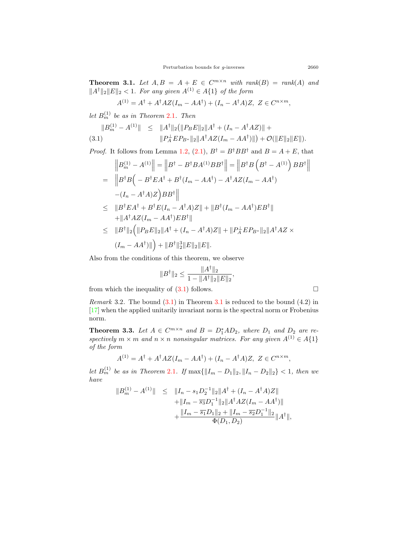<span id="page-6-1"></span>**Theorem 3.1.** Let  $A, B = A + E \in C^{m \times n}$  with  $rank(B) = rank(A)$  and *∣* $|A^{\dagger}$ <sup>*∥*</sup><sub>2</sub> $|E|$ <sup>2</sup> *<* 1*. For any given*  $A^{(1)} \in A$ <sup>{1}</sup> *of the form* 

$$
A^{(1)} = A^{\dagger} + A^{\dagger} A Z (I_m - A A^{\dagger}) + (I_n - A^{\dagger} A) Z, \ Z \in C^{n \times m},
$$

 $let B<sup>(1)</sup><sub>m</sub> be as in Theorem 2.1. Then$  $let B<sup>(1)</sup><sub>m</sub> be as in Theorem 2.1. Then$  $let B<sup>(1)</sup><sub>m</sub> be as in Theorem 2.1. Then$ 

<span id="page-6-0"></span>
$$
||B_m^{(1)} - A^{(1)}|| \le ||A^{\dagger}||_2 (||P_B E||_2 ||A^{\dagger} + (I_n - A^{\dagger} A Z)|| +
$$
  
(3.1) 
$$
||P_A^{\perp} E P_{B^*}||_2 ||A^{\dagger} A Z (I_m - A A^{\dagger})||) + \mathcal{O}(||E||_2 ||E||).
$$

*Proof.* It follows from Lemma [1.2,](#page-3-3) ([2.1](#page-3-4)),  $B^{\dagger} = B^{\dagger}BB^{\dagger}$  and  $B = A + E$ , that

$$
\|B_m^{(1)} - A^{(1)}\| = \|B^{\dagger} - B^{\dagger}BA^{(1)}BB^{\dagger}\| = \|B^{\dagger}B(B^{\dagger} - A^{(1)})BB^{\dagger}\|
$$
  
\n
$$
= \|B^{\dagger}B(-B^{\dagger}EA^{\dagger} + B^{\dagger}(I_m - AA^{\dagger}) - A^{\dagger}AZ(I_m - AA^{\dagger})
$$
  
\n
$$
-(I_n - A^{\dagger}A)Z)BB^{\dagger}\|
$$
  
\n
$$
\leq \|B^{\dagger}EA^{\dagger} + B^{\dagger}E(I_n - A^{\dagger}A)Z\| + \|B^{\dagger}(I_m - AA^{\dagger})EB^{\dagger}\|
$$
  
\n
$$
+ \|A^{\dagger}AZ(I_m - AA^{\dagger})EB^{\dagger}\|
$$
  
\n
$$
\leq \|B^{\dagger}\|_2 \Big(\|P_BE\|_2\|A^{\dagger} + (I_n - A^{\dagger}A)Z\| + \|P_A^{\dagger}EP_{B^*}\|_2\|A^{\dagger}AZ \times
$$
  
\n
$$
(I_m - AA^{\dagger})\|\Big) + \|B^{\dagger}\|_2^3\|E\|_2\|E\|.
$$

Also from the conditions of this theorem, we observe

$$
||B^{\dagger}||_2 \le \frac{||A^{\dagger}||_2}{1 - ||A^{\dagger}||_2||E||_2},
$$

from which the inequality of  $(3.1)$  $(3.1)$  $(3.1)$  follows.  $\Box$ 

*Remark* 3.2*.* The bound [\(3.1\)](#page-6-0) in Theorem [3.1](#page-6-1) is reduced to the bound (4.2) in [[17\]](#page-8-13) when the applied unitarily invariant norm is the spectral norm or Frobenius norm.

<span id="page-6-2"></span>**Theorem 3.3.** Let  $A \in C^{m \times n}$  and  $B = D_1^*AD_2$ , where  $D_1$  and  $D_2$  are re*spectively*  $m \times m$  *and*  $n \times n$  *nonsingular matrices. For any given*  $A^{(1)} \in A\{1\}$ *of the form*

$$
A^{(1)} = A^{\dagger} + A^{\dagger} A Z (I_m - A A^{\dagger}) + (I_n - A^{\dagger} A) Z, \ Z \in C^{n \times m},
$$

*let*  $B_m^{(1)}$  *be as in Theorem* [2.1](#page-3-2)*.* If  $\max{\{\|I_m - D_1\|_2, \|I_n - D_2\|_2\}} < 1$ , then we *have*

$$
||B_m^{(1)} - A^{(1)}|| \le ||I_n - s_1 D_2^{-1}||_2 ||A^{\dagger} + (I_n - A^{\dagger} A)Z||
$$
  
 
$$
+ ||I_m - \overline{s_3} D_1^{-1}||_2 ||A^{\dagger} A Z (I_m - A A^{\dagger})||
$$
  
 
$$
+ \frac{||I_m - \overline{s_1} D_1||_2 + ||I_m - \overline{s_2} D_1^{-1}||_2}{\Phi(D_1, D_2)} ||A^{\dagger}||,
$$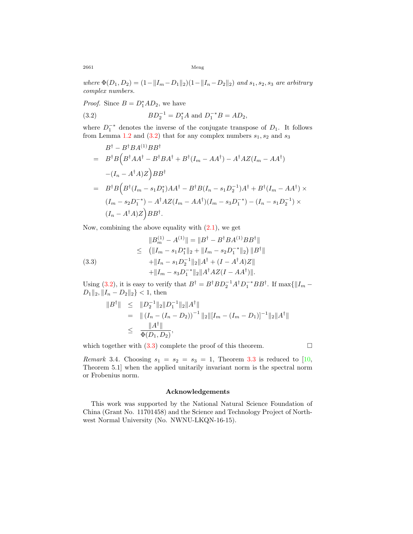2661 Meng

 $where \Phi(D_1, D_2) = (1 - ||I_m - D_1||_2)(1 - ||I_n - D_2||_2)$  *and*  $s_1, s_2, s_3$  *are arbitrary complex numbers.*

*Proof.* Since  $B = D_1^*AD_2$ , we have

<span id="page-7-0"></span>(3.2) 
$$
BD_2^{-1} = D_1^* A \text{ and } D_1^{-*} B = AD_2,
$$

where  $D_1^{-*}$  denotes the inverse of the conjugate transpose of  $D_1$ . It follows from Lemma [1.2](#page-3-3) and  $(3.2)$  $(3.2)$  that for any complex numbers  $s_1, s_2$  and  $s_3$ 

$$
B^{\dagger} - B^{\dagger}BA^{(1)}BB^{\dagger}
$$
  
=  $B^{\dagger}B(B^{\dagger}AA^{\dagger} - B^{\dagger}BA^{\dagger} + B^{\dagger}(I_m - AA^{\dagger}) - A^{\dagger}AZ(I_m - AA^{\dagger})$   
 $-(I_n - A^{\dagger}A)Z$  $BB^{\dagger}$   
=  $B^{\dagger}B(B^{\dagger}(I_m - s_1D_1^*)AA^{\dagger} - B^{\dagger}B(I_n - s_1D_2^{-1})A^{\dagger} + B^{\dagger}(I_m - AA^{\dagger}) \times$   
 $(I_m - s_2D_1^{-*}) - A^{\dagger}AZ(I_m - AA^{\dagger})(I_m - s_3D_1^{-*}) - (I_n - s_1D_2^{-1}) \times$   
 $(I_n - A^{\dagger}A)Z$  $BB^{\dagger}$ .

Now, combining the above equality with  $(2.1)$ , we get

<span id="page-7-1"></span>(3.3)  
\n
$$
||B_m^{(1)} - A^{(1)}|| = ||B^\dagger - B^\dagger B A^{(1)} B B^\dagger||
$$
\n
$$
\leq (||I_m - s_1 D_1^*||_2 + ||I_m - s_2 D_1^{-*}||_2) ||B^\dagger||
$$
\n
$$
+ ||I_n - s_1 D_2^{-1}||_2 ||A^\dagger + (I - A^\dagger A) Z||
$$
\n
$$
+ ||I_m - s_3 D_1^{-*}||_2 ||A^\dagger A Z (I - A A^\dagger)||.
$$

Using ([3.2\)](#page-7-0), it is easy to verify that  $B^{\dagger} = B^{\dagger}BD_2^{-1}A^{\dagger}D_1^{-*}BB^{\dagger}$ . If  $\max\{\|I_m -$ *D*<sub>1</sub>*∥*<sub>2</sub>*, ∥I<sub>n</sub>* − *D*<sub>2</sub> $|$ <sub>2</sub>*}* < 1, then

$$
||B^{\dagger}|| \le ||D_2^{-1}||_2||D_1^{-1}||_2||A^{\dagger}||
$$
  
=  $||(I_n - (I_n - D_2))^{-1}||_2||[I_m - (I_m - D_1)]^{-1}||_2||A^{\dagger}||$   
 $\le \frac{||A^{\dagger}||}{\Phi(D_1, D_2)},$ 

which together with  $(3.3)$  $(3.3)$  complete the proof of this theorem.  $\Box$ 

*Remark* 3.4. Choosing  $s_1 = s_2 = s_3 = 1$ , Theorem [3.3](#page-6-2) is reduced to [\[10](#page-8-14), Theorem 5.1] when the applied unitarily invariant norm is the spectral norm or Frobenius norm.

### **Acknowledgements**

This work was supported by the National Natural Science Foundation of China (Grant No. 11701458) and the Science and Technology Project of Northwest Normal University (No. NWNU-LKQN-16-15).